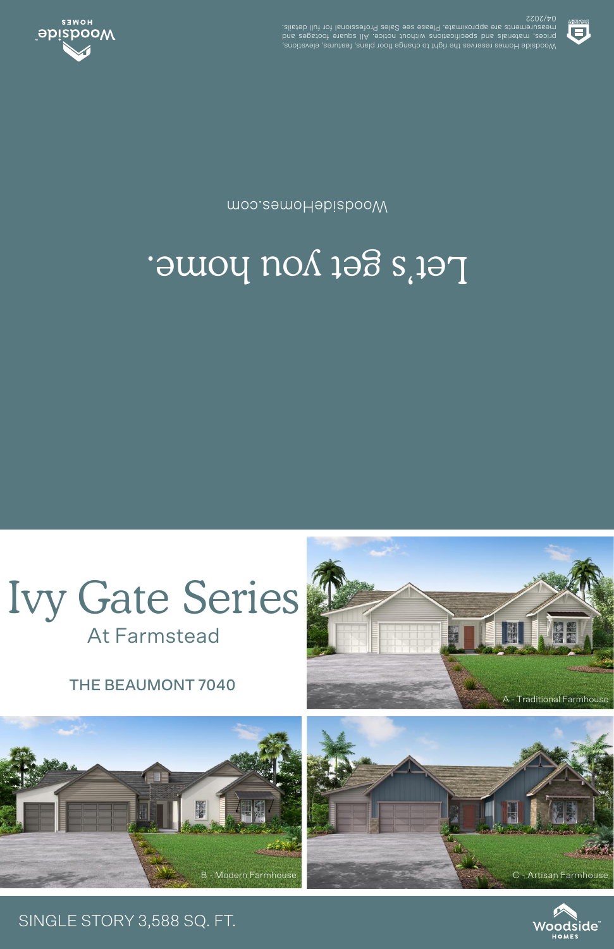THE BEAUMONT 7040

**At Farmstead** 



## Let's get you home.

moo.eamoHabizbooW



**SSOS/40** .elisteb llut tot lanoiszetot9 zels2 ees essel9 .etamixotqqs ets stnemetussem prices, materials and specifications unditive and in the contract of the contract of the contract of the contr<br>pure contract of the contract of the contract of the contract of the contract of the contract of the contract o Woodside Homes reserves the right to change floor plans, features, elevations,



## A - Traditional Farmhouse



## SINGLE STORY 3,588 SQ. FT.